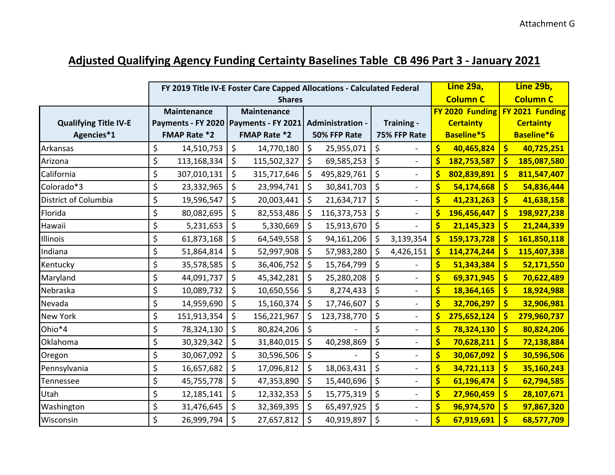## **Adjusted Qualifying Agency Funding Certainty Baselines Table CB 496 Part 3 - January 2021**

|                              |                                         | FY 2019 Title IV-E Foster Care Capped Allocations - Calculated Federal | Line 29a,                                              | Line 29b,         |                                    |  |
|------------------------------|-----------------------------------------|------------------------------------------------------------------------|--------------------------------------------------------|-------------------|------------------------------------|--|
|                              |                                         | <b>Shares</b>                                                          | <b>Column C</b>                                        | <b>Column C</b>   |                                    |  |
|                              | <b>Maintenance</b>                      | <b>Maintenance</b>                                                     |                                                        |                   | FY 2020 Funding FY 2021 Funding    |  |
| <b>Qualifying Title IV-E</b> | Payments - FY 2020   Payments - FY 2021 |                                                                        | <b>Administration -</b><br>Training -                  | <b>Certainty</b>  | <b>Certainty</b>                   |  |
| Agencies*1                   | <b>FMAP Rate *2</b>                     | <b>FMAP Rate *2</b>                                                    | 50% FFP Rate<br>75% FFP Rate                           | Baseline*5        | Baseline*6                         |  |
| Arkansas                     | \$<br>14,510,753                        | $\zeta$<br>14,770,180                                                  | \$<br>\$<br>25,955,071                                 | \$<br>40,465,824  | $\boldsymbol{\zeta}$<br>40,725,251 |  |
| Arizona                      | \$<br>113,168,334                       | $\zeta$<br>115,502,327                                                 | \$<br>\$<br>69,585,253<br>$\overline{\phantom{a}}$     | \$<br>182,753,587 | \$<br>185,087,580                  |  |
| California                   | \$<br>307,010,131                       | $\zeta$<br>315,717,646                                                 | \$<br>\$<br>495,829,761<br>$\frac{1}{2}$               | \$<br>802,839,891 | \$<br>811,547,407                  |  |
| Colorado*3                   | \$<br>23,332,965                        | $\zeta$<br>23,994,741                                                  | \$<br>\$<br>30,841,703<br>$\overline{a}$               | \$<br>54,174,668  | \$<br>54,836,444                   |  |
| District of Columbia         | \$<br>19,596,547                        | $\zeta$<br>20,003,441                                                  | \$<br>$\zeta$<br>21,634,717                            | \$<br>41,231,263  | \$<br>41,638,158                   |  |
| Florida                      | \$<br>80,082,695                        | $\zeta$<br>82,553,486                                                  | \$<br>\$<br>116,373,753<br>$\overline{\phantom{a}}$    | \$<br>196,456,447 | \$<br>198,927,238                  |  |
| Hawaii                       | \$<br>5,231,653                         | \$<br>5,330,669                                                        | \$<br>\$<br>15,913,670                                 | \$<br>21,145,323  | \$<br>21,244,339                   |  |
| Illinois                     | \$<br>61,873,168                        | \$<br>64,549,558                                                       | \$<br>\$<br>3,139,354<br>94,161,206                    | \$<br>159,173,728 | \$<br>161,850,118                  |  |
| Indiana                      | \$<br>51,864,814                        | $\zeta$<br>52,997,908                                                  | \$<br>\$<br>4,426,151<br>57,983,280                    | \$<br>114,274,244 | \$<br>115,407,338                  |  |
| Kentucky                     | \$<br>35,578,585                        | $\zeta$<br>36,406,752                                                  | \$<br>$\zeta$<br>15,764,799                            | \$<br>51,343,384  | \$<br>52,171,550                   |  |
| Maryland                     | \$<br>44,091,737                        | $\zeta$<br>45,342,281                                                  | \$<br>\$<br>25,280,208                                 | \$<br>69,371,945  | \$<br>70,622,489                   |  |
| Nebraska                     | \$<br>10,089,732                        | $\zeta$<br>10,650,556                                                  | \$<br>$\zeta$<br>8,274,433<br>$\overline{\phantom{0}}$ | \$<br>18,364,165  | \$<br>18,924,988                   |  |
| Nevada                       | \$<br>14,959,690                        | $\zeta$<br>15,160,374                                                  | \$<br>\$<br>17,746,607<br>$\overline{a}$               | \$<br>32,706,297  | \$<br>32,906,981                   |  |
| New York                     | \$<br>151,913,354                       | \$<br>156,221,967                                                      | \$<br>\$<br>123,738,770                                | \$<br>275,652,124 | \$<br>279,960,737                  |  |
| Ohio*4                       | \$<br>78,324,130                        | $\zeta$<br>80,824,206                                                  | \$<br>\$<br>$\overline{a}$                             | \$<br>78,324,130  | $\frac{1}{2}$<br>80,824,206        |  |
| Oklahoma                     | \$<br>30,329,342                        | $\zeta$<br>31,840,015                                                  | \$<br>\$<br>40,298,869<br>$\overline{a}$               | \$<br>70,628,211  | \$<br>72,138,884                   |  |
| Oregon                       | \$<br>30,067,092                        | $\zeta$<br>30,596,506                                                  | \$<br>\$                                               | \$<br>30,067,092  | \$<br>30,596,506                   |  |
| Pennsylvania                 | \$<br>16,657,682                        | $\zeta$<br>17,096,812                                                  | \$<br>\$<br>18,063,431                                 | \$<br>34,721,113  | \$<br>35,160,243                   |  |
| Tennessee                    | \$<br>45,755,778                        | $\zeta$<br>47,353,890                                                  | \$<br>\$<br>15,440,696                                 | \$<br>61,196,474  | \$<br>62,794,585                   |  |
| Utah                         | \$<br>12,185,141                        | $\zeta$<br>12,332,353                                                  | \$<br>\$<br>15,775,319<br>$\overline{\phantom{0}}$     | \$<br>27,960,459  | $\frac{1}{2}$<br>28,107,671        |  |
| Washington                   | \$<br>31,476,645                        | $\zeta$<br>32,369,395                                                  | \$<br>\$<br>65,497,925<br>$\blacksquare$               | \$<br>96,974,570  | \$<br>97,867,320                   |  |
| Wisconsin                    | \$<br>26,999,794                        | \$<br>27,657,812                                                       | \$<br>\$<br>40,919,897<br>$\overline{a}$               | \$<br>67,919,691  | \$<br>68,577,709                   |  |